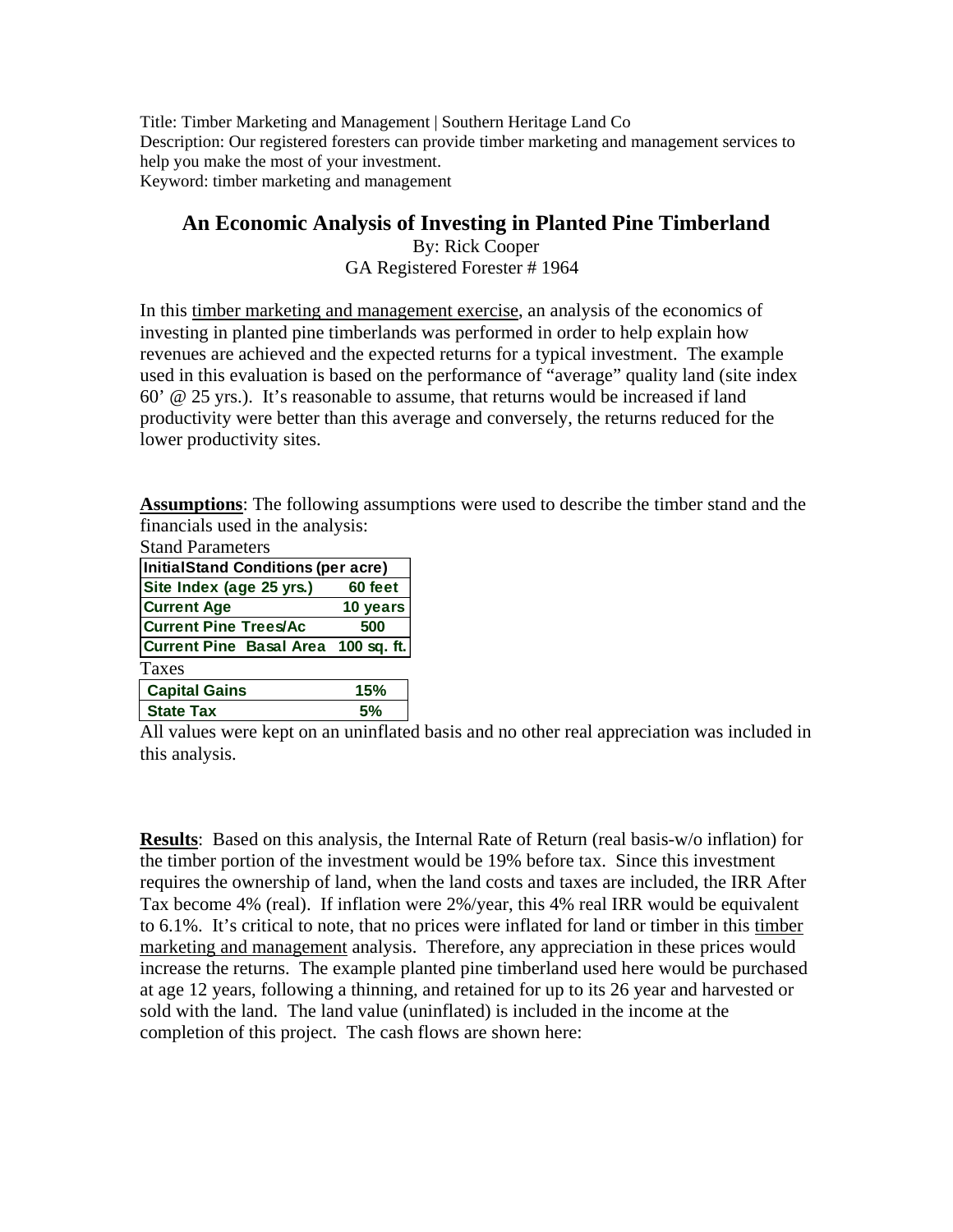Title: Timber Marketing and Management | Southern Heritage Land Co Description: Our registered foresters can provide timber marketing and management services to help you make the most of your investment. Keyword: timber marketing and management

## **An Economic Analysis of Investing in Planted Pine Timberland**

By: Rick Cooper GA Registered Forester # 1964

In this timber marketing and management exercise, an analysis of the economics of investing in planted pine timberlands was performed in order to help explain how revenues are achieved and the expected returns for a typical investment. The example used in this evaluation is based on the performance of "average" quality land (site index 60' @ 25 yrs.). It's reasonable to assume, that returns would be increased if land productivity were better than this average and conversely, the returns reduced for the lower productivity sites.

**Assumptions**: The following assumptions were used to describe the timber stand and the financials used in the analysis:

| <b>Stand Parameters</b>             |          |  |  |  |  |  |  |  |  |
|-------------------------------------|----------|--|--|--|--|--|--|--|--|
| InitialStand Conditions (per acre)  |          |  |  |  |  |  |  |  |  |
| Site Index (age 25 yrs.)            | 60 feet  |  |  |  |  |  |  |  |  |
| <b>Current Age</b>                  | 10 years |  |  |  |  |  |  |  |  |
| <b>Current Pine Trees/Ac</b>        | 500      |  |  |  |  |  |  |  |  |
| Current Pine Basal Area 100 sq. ft. |          |  |  |  |  |  |  |  |  |
| Taxes                               |          |  |  |  |  |  |  |  |  |
| <b>Capital Gains</b>                | 15%      |  |  |  |  |  |  |  |  |
| <b>State Tax</b>                    | 5%       |  |  |  |  |  |  |  |  |

All values were kept on an uninflated basis and no other real appreciation was included in this analysis.

**Results**: Based on this analysis, the Internal Rate of Return (real basis-w/o inflation) for the timber portion of the investment would be 19% before tax. Since this investment requires the ownership of land, when the land costs and taxes are included, the IRR After Tax become 4% (real). If inflation were 2%/year, this 4% real IRR would be equivalent to 6.1%. It's critical to note, that no prices were inflated for land or timber in this timber marketing and management analysis. Therefore, any appreciation in these prices would increase the returns. The example planted pine timberland used here would be purchased at age 12 years, following a thinning, and retained for up to its 26 year and harvested or sold with the land. The land value (uninflated) is included in the income at the completion of this project. The cash flows are shown here: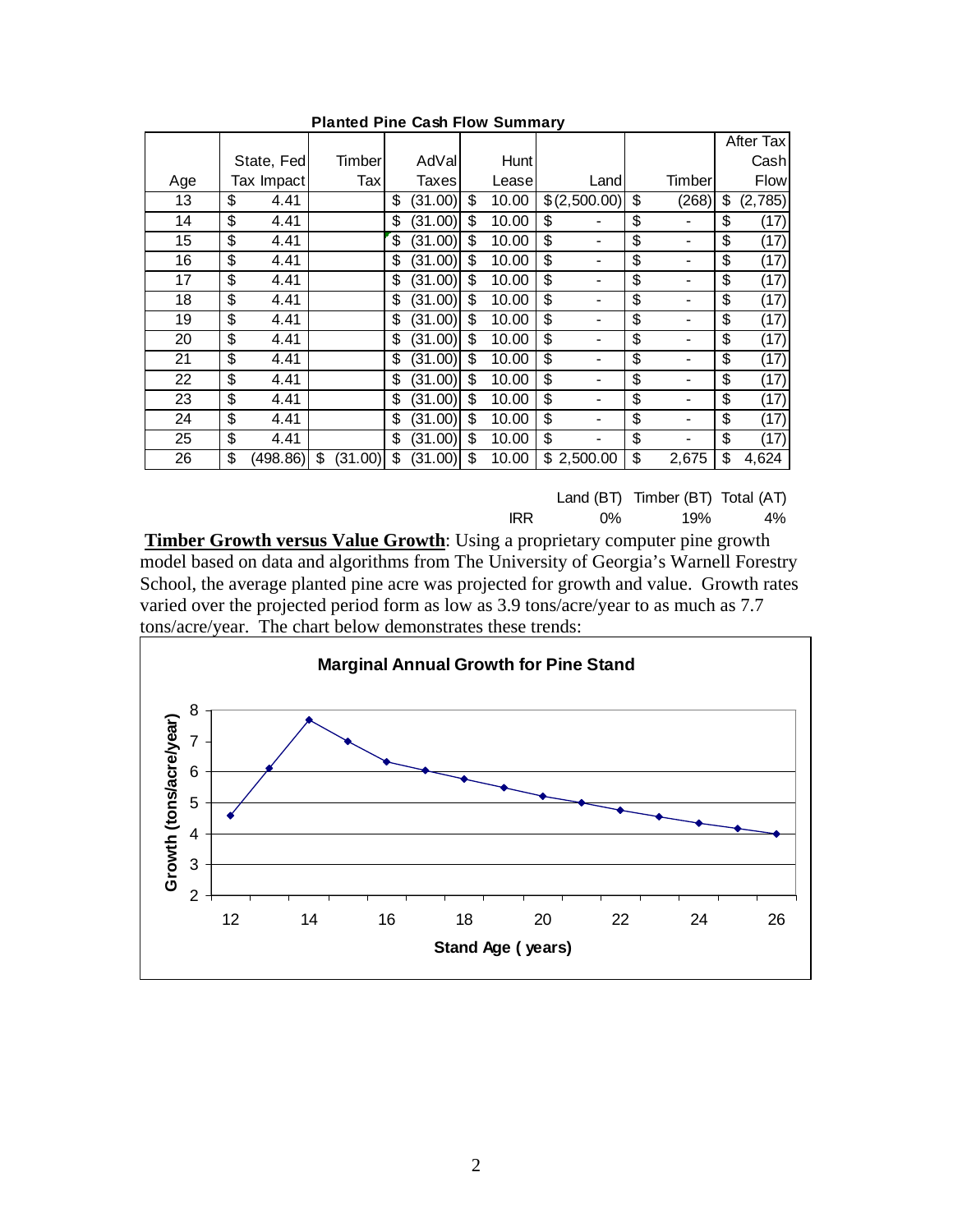|     |            |          |               |               |             |              |             | After Tax     |
|-----|------------|----------|---------------|---------------|-------------|--------------|-------------|---------------|
|     | State, Fed |          | Timber        | AdVal         | Hunt        |              |             | Cashl         |
| Age | Tax Impact |          | Tax           | Taxes         | Leasel      | Land         | Timber      | Flow          |
| 13  | \$         | 4.41     |               | \$<br>(31.00) | \$<br>10.00 | \$(2,500.00) | \$<br>(268) | \$<br>(2,785) |
| 14  | \$         | 4.41     |               | \$<br>(31.00) | \$<br>10.00 | \$           | \$          | \$<br>(17)    |
| 15  | \$         | 4.41     |               | \$<br>(31.00) | \$<br>10.00 | \$<br>-      | \$          | \$<br>(17)    |
| 16  | \$         | 4.41     |               | \$<br>(31.00) | \$<br>10.00 | \$<br>-      | \$          | \$<br>(17)    |
| 17  | \$         | 4.41     |               | \$<br>(31.00) | \$<br>10.00 | \$<br>-      | \$          | \$<br>(17)    |
| 18  | \$         | 4.41     |               | \$<br>(31.00) | \$<br>10.00 | \$<br>-      | \$          | \$<br>(17)    |
| 19  | \$         | 4.41     |               | \$<br>(31.00) | \$<br>10.00 | \$           | \$          | \$<br>(17)    |
| 20  | \$         | 4.41     |               | \$<br>(31.00) | \$<br>10.00 | \$<br>-      | \$          | \$<br>(17)    |
| 21  | \$         | 4.41     |               | \$<br>(31.00) | \$<br>10.00 | \$<br>-      | \$          | \$<br>(17)    |
| 22  | \$         | 4.41     |               | \$<br>(31.00) | \$<br>10.00 | \$<br>-      | \$          | \$<br>(17)    |
| 23  | \$         | 4.41     |               | \$<br>(31.00) | \$<br>10.00 | \$           | \$          | \$<br>(17)    |
| 24  | \$         | 4.41     |               | \$<br>(31.00) | \$<br>10.00 | \$           | \$          | \$<br>(17)    |
| 25  | \$         | 4.41     |               | \$<br>(31.00) | \$<br>10.00 | \$<br>-      | \$          | \$<br>(17)    |
| 26  | \$         | (498.86) | \$<br>(31.00) | \$<br>(31.00) | \$<br>10.00 | \$2,500.00   | \$<br>2,675 | \$<br>4,624   |

## **Planted Pine Cash Flow Summary**

Land (BT) Timber (BT) Total (AT) IRR 0% 19% 4%

**Timber Growth versus Value Growth:** Using a proprietary computer pine growth model based on data and algorithms from The University of Georgia's Warnell Forestry School, the average planted pine acre was projected for growth and value. Growth rates varied over the projected period form as low as 3.9 tons/acre/year to as much as 7.7 tons/acre/year. The chart below demonstrates these trends:

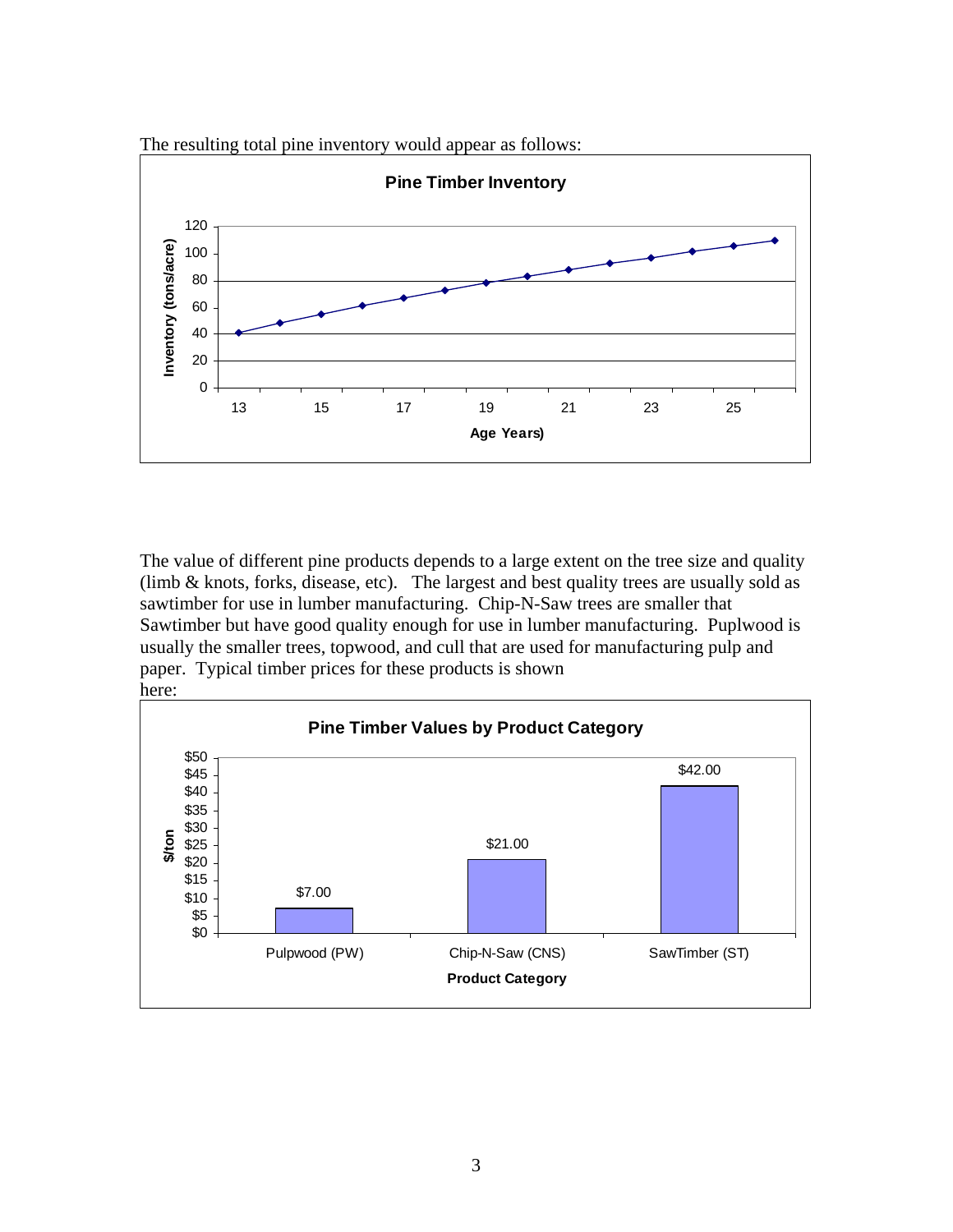



The value of different pine products depends to a large extent on the tree size and quality (limb & knots, forks, disease, etc). The largest and best quality trees are usually sold as sawtimber for use in lumber manufacturing. Chip-N-Saw trees are smaller that Sawtimber but have good quality enough for use in lumber manufacturing. Puplwood is usually the smaller trees, topwood, and cull that are used for manufacturing pulp and paper. Typical timber prices for these products is shown here:

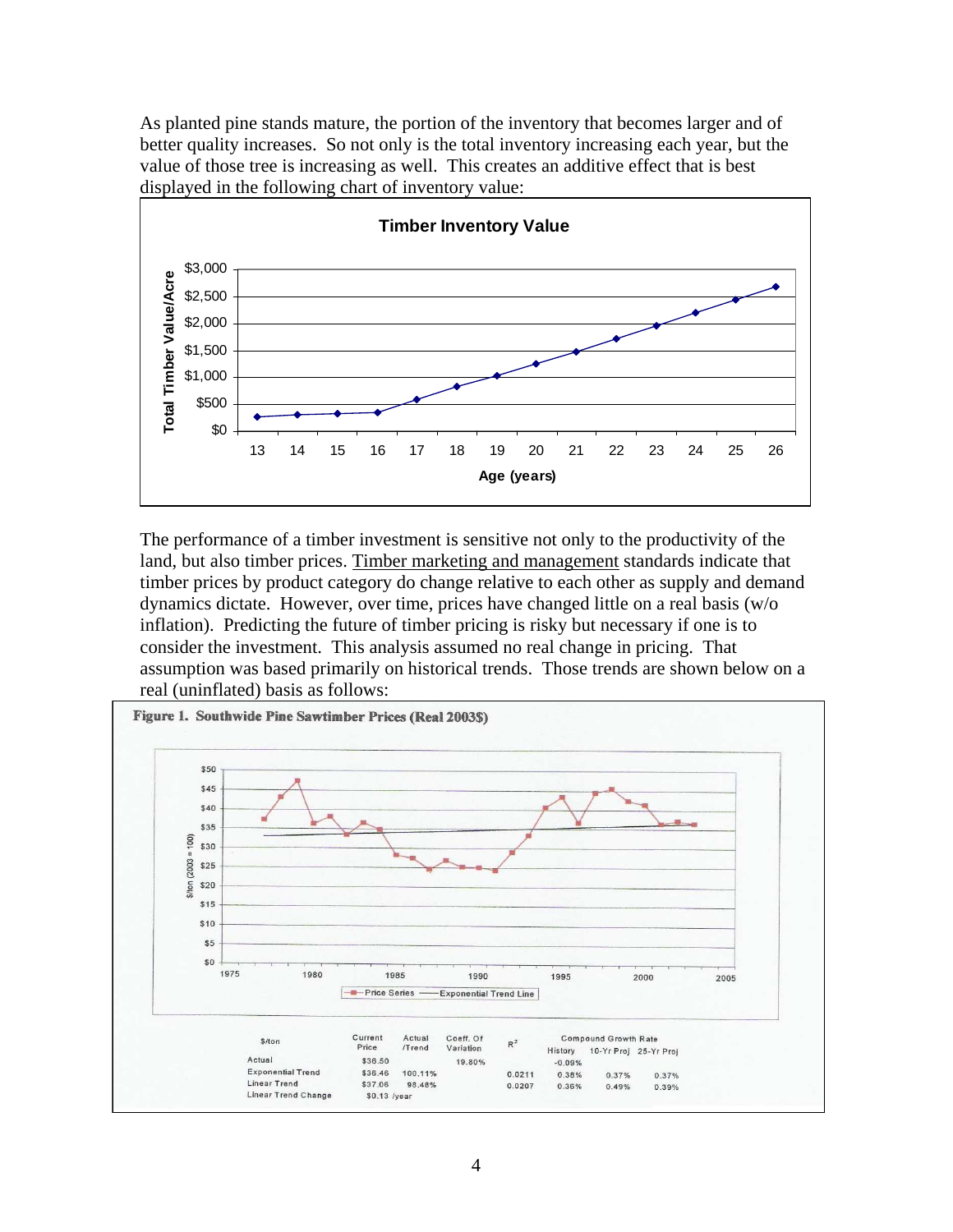As planted pine stands mature, the portion of the inventory that becomes larger and of better quality increases. So not only is the total inventory increasing each year, but the value of those tree is increasing as well. This creates an additive effect that is best displayed in the following chart of inventory value:



The performance of a timber investment is sensitive not only to the productivity of the land, but also timber prices. Timber marketing and management standards indicate that timber prices by product category do change relative to each other as supply and demand dynamics dictate. However, over time, prices have changed little on a real basis (w/o inflation). Predicting the future of timber pricing is risky but necessary if one is to consider the investment. This analysis assumed no real change in pricing. That assumption was based primarily on historical trends. Those trends are shown below on a real (uninflated) basis as follows: